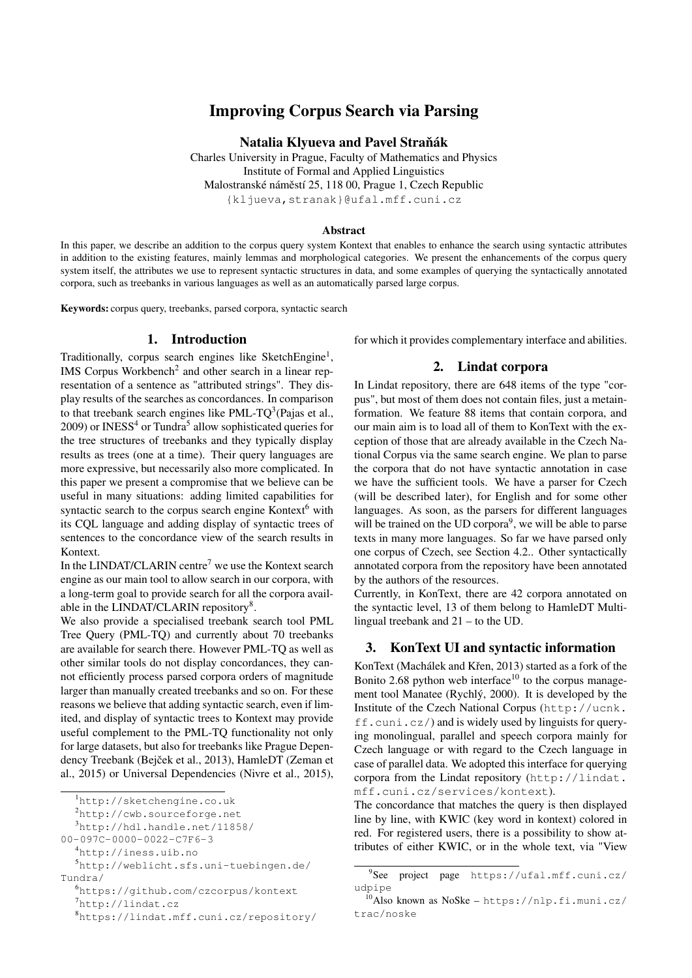# Improving Corpus Search via Parsing

Natalia Klyueva and Pavel Straňák

Charles University in Prague, Faculty of Mathematics and Physics Institute of Formal and Applied Linguistics Malostranské náměstí 25, 118 00, Prague 1, Czech Republic {kljueva,stranak}@ufal.mff.cuni.cz

#### Abstract

In this paper, we describe an addition to the corpus query system Kontext that enables to enhance the search using syntactic attributes in addition to the existing features, mainly lemmas and morphological categories. We present the enhancements of the corpus query system itself, the attributes we use to represent syntactic structures in data, and some examples of querying the syntactically annotated corpora, such as treebanks in various languages as well as an automatically parsed large corpus.

Keywords: corpus query, treebanks, parsed corpora, syntactic search

# 1. Introduction

Traditionally, corpus search engines like SketchEngine<sup>[1](#page-0-0)</sup>, IMS Corpus Workbench<sup>[2](#page-0-1)</sup> and other search in a linear representation of a sentence as "attributed strings". They display results of the searches as concordances. In comparison to that treebank search engines like PML-TQ<sup>[3](#page-0-2)</sup>[\(Pajas et al.,](#page-4-0)  $2009$ ) or INESS<sup>[4](#page-0-3)</sup> or Tundra<sup>[5](#page-0-4)</sup> allow sophisticated queries for the tree structures of treebanks and they typically display results as trees (one at a time). Their query languages are more expressive, but necessarily also more complicated. In this paper we present a compromise that we believe can be useful in many situations: adding limited capabilities for syntactic search to the corpus search engine Kontext $<sup>6</sup>$  $<sup>6</sup>$  $<sup>6</sup>$  with</sup> its CQL language and adding display of syntactic trees of sentences to the concordance view of the search results in Kontext.

In the LINDAT/CLARIN centre<sup>[7](#page-0-6)</sup> we use the Kontext search engine as our main tool to allow search in our corpora, with a long-term goal to provide search for all the corpora avail-able in the LINDAT/CLARIN repository<sup>[8](#page-0-7)</sup>.

We also provide a specialised treebank search tool PML Tree Query (PML-TQ) and currently about 70 treebanks are available for search there. However PML-TQ as well as other similar tools do not display concordances, they cannot efficiently process parsed corpora orders of magnitude larger than manually created treebanks and so on. For these reasons we believe that adding syntactic search, even if limited, and display of syntactic trees to Kontext may provide useful complement to the PML-TQ functionality not only for large datasets, but also for treebanks like Prague Dependency Treebank (Bejček et al., 2013), HamleDT (Zeman et al., 2015) or Universal Dependencies (Nivre et al., 2015),

```
6https://github.com/czcorpus/kontext
7http://lindat.cz
```

```
8https://lindat.mff.cuni.cz/repository/
```
for which it provides complementary interface and abilities.

# 2. Lindat corpora

In Lindat repository, there are 648 items of the type "corpus", but most of them does not contain files, just a metainformation. We feature 88 items that contain corpora, and our main aim is to load all of them to KonText with the exception of those that are already available in the Czech National Corpus via the same search engine. We plan to parse the corpora that do not have syntactic annotation in case we have the sufficient tools. We have a parser for Czech (will be described later), for English and for some other languages. As soon, as the parsers for different languages will be trained on the UD corpora $9$ , we will be able to parse texts in many more languages. So far we have parsed only one corpus of Czech, see Section [4.2..](#page-3-0) Other syntactically annotated corpora from the repository have been annotated by the authors of the resources.

Currently, in KonText, there are 42 corpora annotated on the syntactic level, 13 of them belong to HamleDT Multilingual treebank and 21 – to the UD.

#### <span id="page-0-10"></span>3. KonText UI and syntactic information

KonText (Machálek and Křen, 2013) started as a fork of the Bonito 2.68 python web interface<sup>[10](#page-0-9)</sup> to the corpus management tool Manatee [\(Rychlý, 2000\)](#page-4-2). It is developed by the Institute of the Czech National Corpus ([http://ucnk.](http://ucnk.ff.cuni.cz/)  $ff$ .cuni.cz/) and is widely used by linguists for querying monolingual, parallel and speech corpora mainly for Czech language or with regard to the Czech language in case of parallel data. We adopted this interface for querying corpora from the Lindat repository ([http://lindat.](http://lindat.mff.cuni.cz/services/kontext) [mff.cuni.cz/services/kontext](http://lindat.mff.cuni.cz/services/kontext)).

The concordance that matches the query is then displayed line by line, with KWIC (key word in kontext) colored in red. For registered users, there is a possibility to show attributes of either KWIC, or in the whole text, via "View

<span id="page-0-0"></span><sup>1</sup><http://sketchengine.co.uk>

<span id="page-0-1"></span><sup>2</sup><http://cwb.sourceforge.net>

<span id="page-0-2"></span><sup>3</sup>[http://hdl.handle.net/11858/](http://hdl.handle.net/11858/00-097C-0000-0022-C7F6-3)

[<sup>00-097</sup>C-0000-0022-C7F6-3](http://hdl.handle.net/11858/00-097C-0000-0022-C7F6-3)

<span id="page-0-4"></span><span id="page-0-3"></span><sup>4</sup><http://iness.uib.no>

<sup>5</sup>[http://weblicht.sfs.uni-tuebingen.de/](http://weblicht.sfs.uni-tuebingen.de/Tundra/) [Tundra/](http://weblicht.sfs.uni-tuebingen.de/Tundra/)

<span id="page-0-8"></span><sup>9</sup> See project page [https://ufal.mff.cuni.cz/](https://ufal.mff.cuni.cz/udpipe) [udpipe](https://ufal.mff.cuni.cz/udpipe)

<span id="page-0-9"></span><sup>10</sup>Also known as NoSke – [https://nlp.fi.muni.cz/](https://nlp.fi.muni.cz/trac/noske) [trac/noske](https://nlp.fi.muni.cz/trac/noske)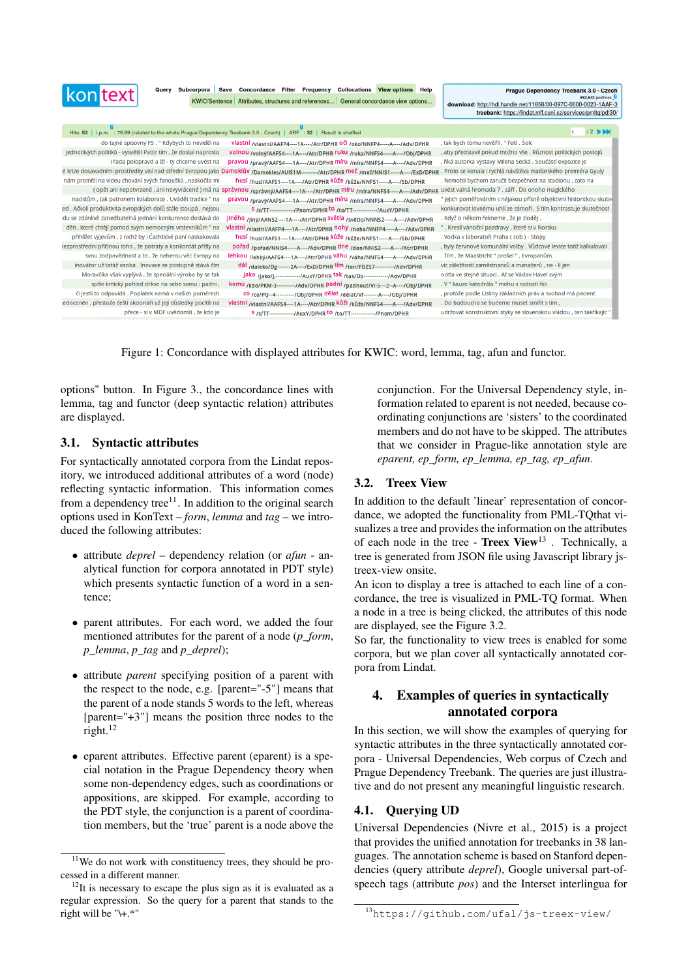| <b>kon</b> text                                                                                                         | Query Subcorpora Save Concordance Filter Frequency Collocations View options Help<br>KWIC/Sentence Attributes, structures and references General concordance view options | Praque Dependency Treebank 3.0 - Czech<br>652,542 positions<br>download: http://hdl.handle.net/11858/00-097C-0000-0023-1AAF-3<br>treebank: https://lindat.mff.cuni.cz/services/pmltq/pdt30/ |
|-------------------------------------------------------------------------------------------------------------------------|---------------------------------------------------------------------------------------------------------------------------------------------------------------------------|---------------------------------------------------------------------------------------------------------------------------------------------------------------------------------------------|
| Hits: 52   i.p.m. : 79.69 (related to the whole Prague Dependency Treebank 3.0 - Czech)   ARF : 32   Result is shuffled |                                                                                                                                                                           | $12$ bbd                                                                                                                                                                                    |
| do tajné spisovny FS . " Kdybych to neviděl na                                                                          | vlastní /vlastní/AAFP4----1A----/Atr/DPHR OČI /oko/NNFP4-----A----/Adv/DPHR                                                                                               | , tak bych tomu nevěřil , " řekl . Šolc                                                                                                                                                     |
| jednotlivých politiků - vysvětlil Pattir tím, že dostal naprosto                                                        | VOInou /volný/AAFS4----1A----/Atr/DPHR ruku /ruka/NNFS4-----A----/Obj/DPHR                                                                                                | , aby představil pokud možno vše . Různost politických postojů                                                                                                                              |
| i řada polopravd a lží - ty chceme uvést na                                                                             | pravou /pravý/AAFS4----1A----/Atr/DPHR míru /míra/NNFS4-----A----/Adv/DPHR                                                                                                | , říká autorka výstavy Milena Secká . Součástí expozice je                                                                                                                                  |
|                                                                                                                         | é krize dosavadními prostředky visí nad střední Evropou jako Damoklův /Damokles/AUIS1M----------/Atr/DPHR Meč /meč/NNIS1-----A----/ExD/DPHR                               | . Proto se konala i rychlá návštěva maďarského premiéra Gyuly                                                                                                                               |
| nám promítli na videu chování svých fanoušků, naskočila mi                                                              | husí /husí/AAFS1----1A----/Atr/DPHR kůže /kůže/NNFS1-----A----/Sb/DPHR                                                                                                    | . Nemohli bychom zaručit bezpečnost na stadionu, zato na                                                                                                                                    |
|                                                                                                                         | ( opět ani nepotvrzené , ani nevyvrácené ) má na správnou /správný/AAFS4----1A----/Atr/DPHR <sup>míru</sup> /míra/NNFS4-----A----/Adv/DPHR                                | uvést valná hromada 7. září. Do onoho magického                                                                                                                                             |
| nacistům, tak patronem kolaborace. Uvádět tradice " na                                                                  | pravou /pravý/AAFS4----1A----/Atr/DPHR MÍru /míra/NNFS4-----A----/Adv/DPHR                                                                                                | " jejich poměřováním s nějakou přísně objektivní historickou skuteč                                                                                                                         |
| ed. Ačkoli produktivita evropských dolů stále stoupá, nejsou                                                            | S /s/TT-------------/Pnom/DPHR to /to/TT-------------/AuxY/DPHR                                                                                                           | konkurovat levnému uhlí ze zámoří . S tím kontrastuje skutečnost                                                                                                                            |
| du se zdánlivě zanedbatelná jednání konkurence dostává do                                                               | jiného <sub>/jiný/AANS2----1A----/Atr/DPHR</sub> světla /světlo/NNNS2-----A----/Adv/DPHR                                                                                  | . Když o někom řekneme , že je zloděj ,                                                                                                                                                     |
| děti, které chtějí pomoci svým nemocným vrstevníkům " na                                                                | vlastní /vlastní/AAFP4----1A----/Atr/DPHR nohy /noha/NNFP4-----A----/Adv/DPHR                                                                                             | ". Kreslí vánoční pozdravy , které si v Norsku                                                                                                                                              |
| přihlížet výjevům , z nichž by i Čachtické paní naskakovala                                                             | husí /husí/AAFS1----1A----/Atr/DPHR kůže /kůže/NNFS1-----A----/Sb/DPHR                                                                                                    | . Vodka v laboratoři Praha (sob) - Stopy                                                                                                                                                    |
| vezprostřední příčinou toho, že potraty a konkordát přišly na                                                           | pořad /pořad/NNIS4-----A----/Adv/DPHR dne /den/NNIS2-----A----/Atr/DPHR                                                                                                   | , byly červnové komunální volby . Vůdcové levice totiž kalkulovali                                                                                                                          |
| svou zodpovědnost a to, že neberou věc Evropy na                                                                        | lehkou /lehký/AAFS4----1A----/Atr/DPHR Váhu /váha/NNFS4-----A----/Adv/DPHR                                                                                                | . Tím, že Maastricht " prošel ", Evropanům                                                                                                                                                  |
| inovátor už tatáž osoba . Inovace se postupně stává čím                                                                 | dál /daleko/Dg-------2A----/ExD/DPHR tím /ten/PDZS7----------/Adv/DPHR                                                                                                    | víc záležitostí zaměstnanců a manažerů, ne - li jen                                                                                                                                         |
| Moravčíka však vyplývá, že speciální výroba by se tak                                                                   | jako /jako/J,------------/AuxY/DPHR tak /tak/Db-------------/Adv/DPHR                                                                                                     | ocitla ve stejné situaci . Ať se Václav Havel svým                                                                                                                                          |
| spíše kritický pohled církve na sebe samu : padni ,                                                                     | komu /kdo/PKM-3----------/Adv/DPHR Padni /padnout/Vi-S---2--A----/Obj/DPHR                                                                                                | . V " kauze katedrála " mohu s radostí říci                                                                                                                                                 |
| či jestli to odpovídá. Poplatek nemá v našich poměrech                                                                  | CO /co/PQ--4---------/Obj/DPHR dělat /dělat/Vf--------A----/Obj/DPHR                                                                                                      | , protože podle Listiny základních práv a svobod má pacient                                                                                                                                 |
| edoceněn, přestože čeští akcionáři už její důsledky pocítili na                                                         | vlastní /vlastní/AAFS4----1A----/Atr/DPHR kůžl /kůže/NNFS4-----A----/Adv/DPHR                                                                                             | . Do budoucna se budeme muset smířit s tím,                                                                                                                                                 |
| přece - si v MDF uvědomili , že kdo je                                                                                  | S /s/TT-------------/AuxY/DPHR to /to/TT-------------/Pnom/DPHR                                                                                                           | udržovat konstruktivní styky se slovenskou vládou , ten takříkajíc '                                                                                                                        |
|                                                                                                                         |                                                                                                                                                                           |                                                                                                                                                                                             |

Figure 1: Concordance with displayed attributes for KWIC: word, lemma, tag, afun and functor.

options" button. In Figure [3.,](#page-0-10) the concordance lines with lemma, tag and functor (deep syntactic relation) attributes are displayed.

# 3.1. Syntactic attributes

For syntactically annotated corpora from the Lindat repository, we introduced additional attributes of a word (node) reflecting syntactic information. This information comes from a dependency tree<sup>[11](#page-1-0)</sup>. In addition to the original search options used in KonText – *form*, *lemma* and *tag* – we introduced the following attributes:

- attribute *deprel* dependency relation (or *afun* analytical function for corpora annotated in PDT style) which presents syntactic function of a word in a sentence;
- parent attributes. For each word, we added the four mentioned attributes for the parent of a node (*p\_form*, *p\_lemma*, *p\_tag* and *p\_deprel*);
- attribute *parent* specifying position of a parent with the respect to the node, e.g. [parent="-5"] means that the parent of a node stands 5 words to the left, whereas [parent="+3"] means the position three nodes to the right.[12](#page-1-1)
- eparent attributes. Effective parent (eparent) is a special notation in the Prague Dependency theory when some non-dependency edges, such as coordinations or appositions, are skipped. For example, according to the PDT style, the conjunction is a parent of coordination members, but the 'true' parent is a node above the

conjunction. For the Universal Dependency style, information related to eparent is not needed, because coordinating conjunctions are 'sisters' to the coordinated members and do not have to be skipped. The attributes that we consider in Prague-like annotation style are *eparent, ep\_form, ep\_lemma, ep\_tag, ep\_afun*.

#### <span id="page-1-3"></span>3.2. Treex View

In addition to the default 'linear' representation of concordance, we adopted the functionality from PML-TQthat visualizes a tree and provides the information on the attributes of each node in the tree - Treex View<sup>[13](#page-1-2)</sup>. Technically, a tree is generated from JSON file using Javascript library jstreex-view onsite.

An icon to display a tree is attached to each line of a concordance, the tree is visualized in PML-TQ format. When a node in a tree is being clicked, the attributes of this node are displayed, see the Figure [3.2.](#page-1-3)

So far, the functionality to view trees is enabled for some corpora, but we plan cover all syntactically annotated corpora from Lindat.

# 4. Examples of queries in syntactically annotated corpora

In this section, we will show the examples of querying for syntactic attributes in the three syntactically annotated corpora - Universal Dependencies, Web corpus of Czech and Prague Dependency Treebank. The queries are just illustrative and do not present any meaningful linguistic research.

#### <span id="page-1-4"></span>4.1. Querying UD

Universal Dependencies (Nivre et al., 2015) is a project that provides the unified annotation for treebanks in 38 languages. The annotation scheme is based on Stanford dependencies (query attribute *deprel*), Google universal part-ofspeech tags (attribute *pos*) and the Interset interlingua for

<span id="page-1-0"></span><sup>&</sup>lt;sup>11</sup>We do not work with constituency trees, they should be processed in a different manner.

<span id="page-1-1"></span> $12$ It is necessary to escape the plus sign as it is evaluated as a regular expression. So the query for a parent that stands to the right will be "\+.\*"

<span id="page-1-2"></span><sup>13</sup><https://github.com/ufal/js-treex-view/>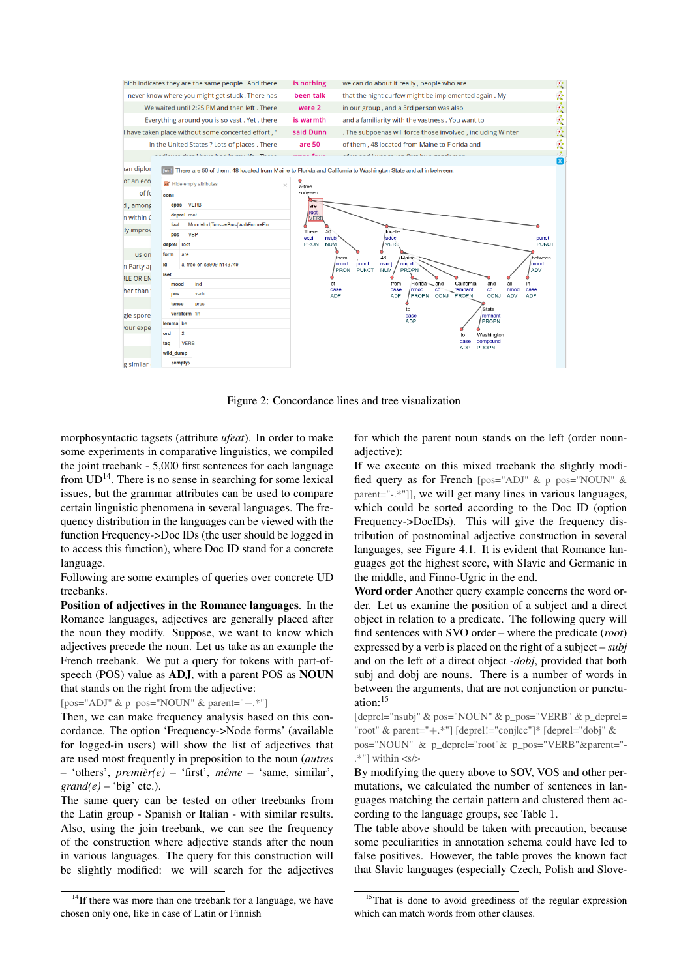

Figure 2: Concordance lines and tree visualization

morphosyntactic tagsets (attribute *ufeat*). In order to make some experiments in comparative linguistics, we compiled the [joint treebank](https://lindat.mff.cuni.cz/services/kontext/run.cgi/first?shuffle=1&reload=1&corpname=ud_en_a) - 5,000 first sentences for each language from  $UD<sup>14</sup>$  $UD<sup>14</sup>$  $UD<sup>14</sup>$ . There is no sense in searching for some lexical issues, but the grammar attributes can be used to compare certain linguistic phenomena in several languages. The frequency distribution in the languages can be viewed with the function Frequency->Doc IDs (the user should be logged in to access this function), where Doc ID stand for a concrete language.

Following are some examples of queries over concrete UD treebanks.

Position of adjectives in the Romance languages. In the Romance languages, adjectives are generally placed after the noun they modify. Suppose, we want to know which adjectives precede the noun. Let us take as an example the French treebank. We put a query for tokens with part-ofspeech (POS) value as ADJ, with a parent POS as NOUN that stands on the right from the adjective:

[\[pos="ADJ" & p\\_pos="NOUN" & parent="](http://hdl.handle.net/11346/KONTEXT-FR-PAVV)+.\*"]

Then, we can make frequency analysis based on this concordance. The option 'Frequency->Node forms' (available for logged-in users) will show the list of adjectives that are used most frequently in preposition to the noun (*autres* – 'others', *premièr(e)* – 'first', *même* – 'same, similar',  $\text{grand}(e)$  – 'big' etc.).

The same query can be tested on other treebanks from the Latin group - Spanish or Italian - with similar results. Also, using the join treebank, we can see the frequency of the construction where adjective stands after the noun in various languages. The query for this construction will be slightly modified: we will search for the adjectives

<span id="page-2-0"></span><sup>14</sup>If there was more than one treebank for a language, we have chosen only one, like in case of Latin or Finnish

for which the parent noun stands on the left (order nounadjective):

If we execute on this mixed treebank the slightly modified query as for French [\[pos="ADJ" & p\\_pos="NOUN" &](http://hdl.handle.net/11346/KONTEXTNOUNADJ-D6RQ) [parent="-.\\*"\]\]](http://hdl.handle.net/11346/KONTEXTNOUNADJ-D6RQ), we will get many lines in various languages, which could be sorted according to the Doc ID (option Frequency->DocIDs). This will give the frequency distribution of postnominal adjective construction in several languages, see Figure [4.1.](#page-1-4) It is evident that Romance languages got the highest score, with Slavic and Germanic in the middle, and Finno-Ugric in the end.

Word order Another query example concerns the word order. Let us examine the position of a subject and a direct object in relation to a predicate. The following query will find sentences with SVO order – where the predicate (*root*) expressed by a verb is placed on the right of a subject – *subj* and on the left of a direct object -*dobj*, provided that both subj and dobj are nouns. There is a number of words in between the arguments, that are not conjunction or punctuation:[15](#page-2-1)

[\[deprel="nsubj" & pos="NOUN" & p\\_pos="VERB" & p\\_deprel=](http://hdl.handle.net/11346/KONTEXTSVO-CKV5) "root" & parent="+[.\\*"\] \[deprel!="conj|cc"\]\\* \[deprel="dobj" &](http://hdl.handle.net/11346/KONTEXTSVO-CKV5) [pos="NOUN" & p\\_deprel="root"& p\\_pos="VERB"&parent="-](http://hdl.handle.net/11346/KONTEXTSVO-CKV5)  $.*"$ ] within  $\langle s \rangle$ 

By modifying the query above to SOV, VOS and other permutations, we calculated the number of sentences in languages matching the certain pattern and clustered them according to the language groups, see Table [1.](#page-3-1)

The table above should be taken with precaution, because some peculiarities in annotation schema could have led to false positives. However, the table proves the known fact that Slavic languages (especially Czech, Polish and Slove-

<span id="page-2-1"></span><sup>&</sup>lt;sup>15</sup>That is done to avoid greediness of the regular expression which can match words from other clauses.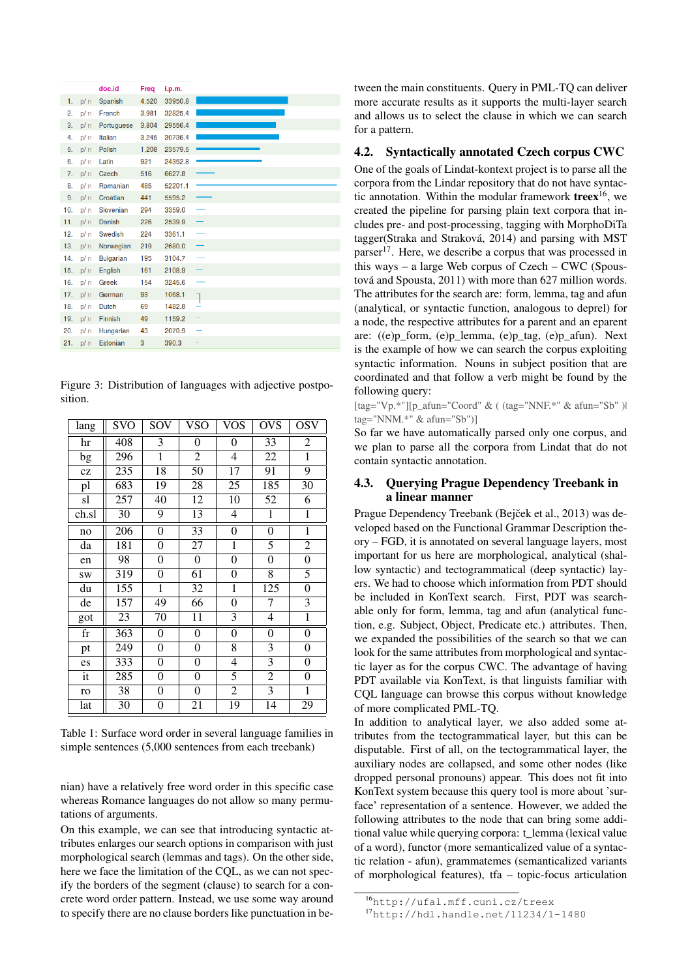|     |       | doc.id           | Freq  | i.p.m.  |  |
|-----|-------|------------------|-------|---------|--|
| 1.  | p / n | Spanish          | 4,520 | 33950.8 |  |
| 2.  | p/n   | French           | 3,981 | 32825.4 |  |
| 3.  | p/n   | Portuguese       | 3,804 | 29556.4 |  |
| 4.  | p/n   | Italian          | 3,245 | 30736.4 |  |
| 5.  | p/n   | Polish           | 1,208 | 23579.5 |  |
| 6.  | p / n | Latin            | 921   | 24352.8 |  |
| 7.  | p/n   | Czech            | 516   | 6627.8  |  |
| 8.  | p/n   | Romanian         | 485   | 52201.1 |  |
| 9.  | p/n   | Croatian         | 441   | 5595.2  |  |
| 10. | p/n   | Slovenian        | 294   | 3359.0  |  |
| 11. | p/n   | Danish           | 226   | 2539.9  |  |
| 12. | p/n   | Swedish          | 224   | 3361.1  |  |
| 13. | p/n   | Norwegian        | 219   | 2680.0  |  |
| 14. | p / n | <b>Bulgarian</b> | 195   | 3104.7  |  |
| 15. | p/n   | English          | 161   | 2108.9  |  |
| 16. | p/n   | <b>Greek</b>     | 154   | 3245.6  |  |
| 17. | p/n   | German           | 93    | 1068.1  |  |
| 18. | p/n   | <b>Dutch</b>     | 69    | 1482.8  |  |
| 19. | p/n   | Finnish          | 49    | 1159.2  |  |
| 20. | p/n   | Hungarian        | 43    | 2070.9  |  |
| 21. | p/n   | Estonian         | 3     | 390.3   |  |

Figure 3: Distribution of languages with adjective postposition.

| lang        | <b>SVO</b> | SOV              | VSO              | <b>VOS</b>               | <b>OVS</b>       | OSV            |
|-------------|------------|------------------|------------------|--------------------------|------------------|----------------|
| hr          | 408        | 3                | $\boldsymbol{0}$ | $\overline{0}$           | 33               | $\overline{c}$ |
| bg          | 296        | $\mathbf{1}$     | $\overline{2}$   | $\overline{\mathcal{L}}$ | $\overline{22}$  | 1              |
| cz          | 235        | 18               | 50               | 17                       | 91               | 9              |
| pl          | 683        | 19               | 28               | 25                       | 185              | 30             |
| sl          | 257        | 40               | 12               | 10                       | 52               | 6              |
| ch.sl       | 30         | 9                | 13               | $\overline{4}$           | $\overline{1}$   | $\mathbf{1}$   |
| no          | 206        | $\boldsymbol{0}$ | 33               | $\boldsymbol{0}$         | $\boldsymbol{0}$ | $\overline{1}$ |
| da          | 181        | $\boldsymbol{0}$ | 27               | $\mathbf{1}$             | $\overline{5}$   | $\overline{2}$ |
| en          | 98         | 0                | 0                | $\boldsymbol{0}$         | 0                | 0              |
| <b>SW</b>   | 319        | 0                | 61               | $\boldsymbol{0}$         | 8                | 5              |
| du          | 155        | 1                | 32               | $\mathbf{1}$             | 125              | $\overline{0}$ |
| de          | 157        | 49               | 66               | 0                        | 7                | 3              |
| got         | 23         | 70               | 11               | 3                        | 4                | $\mathbf{1}$   |
| $_{\rm fr}$ | 363        | $\boldsymbol{0}$ | $\boldsymbol{0}$ | $\overline{0}$           | $\boldsymbol{0}$ | $\overline{0}$ |
| pt          | 249        | 0                | $\boldsymbol{0}$ | $\overline{8}$           | $\overline{3}$   | 0              |
| es          | 333        | 0                | 0                | 4                        | 3                | 0              |
| it          | 285        | 0                | 0                | 5                        | $\overline{c}$   | $\overline{0}$ |
| ro          | 38         | 0                | 0                | $\mathbf{2}$             | 3                | $\mathbf{1}$   |
| lat         | 30         | 0                | 21               | 19                       | 14               | 29             |

<span id="page-3-1"></span>Table 1: Surface word order in several language families in simple sentences (5,000 sentences from each treebank)

nian) have a relatively free word order in this specific case whereas Romance languages do not allow so many permutations of arguments.

On this example, we can see that introducing syntactic attributes enlarges our search options in comparison with just morphological search (lemmas and tags). On the other side, here we face the limitation of the CQL, as we can not specify the borders of the segment (clause) to search for a concrete word order pattern. Instead, we use some way around to specify there are no clause borders like punctuation in between the main constituents. Query in PML-TQ can deliver more accurate results as it supports the multi-layer search and allows us to select the clause in which we can search for a pattern.

#### <span id="page-3-0"></span>4.2. Syntactically annotated Czech corpus CWC

One of the goals of Lindat-kontext project is to parse all the corpora from the Lindar repository that do not have syntactic annotation. Within the modular framework treex<sup>16</sup>, we created the pipeline for parsing plain text corpora that includes pre- and post-processing, tagging with MorphoDiTa tagger(Straka and Straková, 2014) and parsing with MST parser<sup>17</sup>. Here, we describe a corpus that was processed in this ways  $-$  a large Web corpus of Czech  $-$  CWC (Spoustová and Spousta, 2011) with more than 627 million words. The attributes for the search are: form, lemma, tag and afun (analytical, or syntactic function, analogous to deprel) for a node, the respective attributes for a parent and an eparent are: ((e)p\_form, (e)p\_lemma, (e)p\_tag, (e)p\_afun). Next is the example of how we can search the corpus exploiting syntactic information. Nouns in subject position that are coordinated and that follow a verb might be found by the following query:

[tag="Vp.\*"][p\_afun="Coord" & ((tag="NNF.\*" & afun="Sb")| tag="NNM.\*" & afun="Sb")]

So far we have automatically parsed only one corpus, and we plan to parse all the corpora from Lindat that do not contain syntactic annotation.

# 4.3. Querying Prague Dependency Treebank in a linear manner

Prague Dependency Treebank (Bejček et al., 2013) was developed based on the Functional Grammar Description theory – FGD, it is annotated on several language layers, most important for us here are morphological, analytical (shallow syntactic) and tectogrammatical (deep syntactic) layers. We had to choose which information from PDT should be included in KonText search. First, PDT was searchable only for form, lemma, tag and afun (analytical function, e.g. Subject, Object, Predicate etc.) attributes. Then, we expanded the possibilities of the search so that we can look for the same attributes from morphological and syntactic layer as for the corpus CWC. The advantage of having PDT available via KonText, is that linguists familiar with CQL language can browse this corpus without knowledge of more complicated PML-TQ.

In addition to analytical layer, we also added some attributes from the tectogrammatical layer, but this can be disputable. First of all, on the tectogrammatical layer, the auxiliary nodes are collapsed, and some other nodes (like dropped personal pronouns) appear. This does not fit into KonText system because this query tool is more about 'surface' representation of a sentence. However, we added the following attributes to the node that can bring some additional value while querying corpora: t lemma (lexical value of a word), functor (more semanticalized value of a syntactic relation - afun), grammatemes (semanticalized variants of morphological features), tfa  $-$  topic-focus articulation

<span id="page-3-2"></span> $^{16}$ http://ufal.mff.cuni.cz/treex

<span id="page-3-3"></span><sup>&</sup>lt;sup>17</sup>http://hdl.handle.net/11234/1-1480